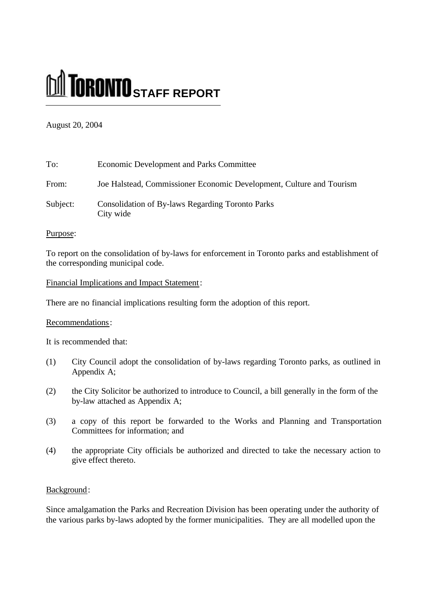# **M** TORONTO STAFF REPORT

## August 20, 2004

| To:      | <b>Economic Development and Parks Committee</b>                      |
|----------|----------------------------------------------------------------------|
| From:    | Joe Halstead, Commissioner Economic Development, Culture and Tourism |
| Subject: | <b>Consolidation of By-laws Regarding Toronto Parks</b><br>City wide |

## Purpose:

To report on the consolidation of by-laws for enforcement in Toronto parks and establishment of the corresponding municipal code.

## Financial Implications and Impact Statement:

There are no financial implications resulting form the adoption of this report.

## Recommendations:

It is recommended that:

- (1) City Council adopt the consolidation of by-laws regarding Toronto parks, as outlined in Appendix A;
- (2) the City Solicitor be authorized to introduce to Council, a bill generally in the form of the by-law attached as Appendix A;
- (3) a copy of this report be forwarded to the Works and Planning and Transportation Committees for information; and
- (4) the appropriate City officials be authorized and directed to take the necessary action to give effect thereto.

#### Background:

Since amalgamation the Parks and Recreation Division has been operating under the authority of the various parks by-laws adopted by the former municipalities. They are all modelled upon the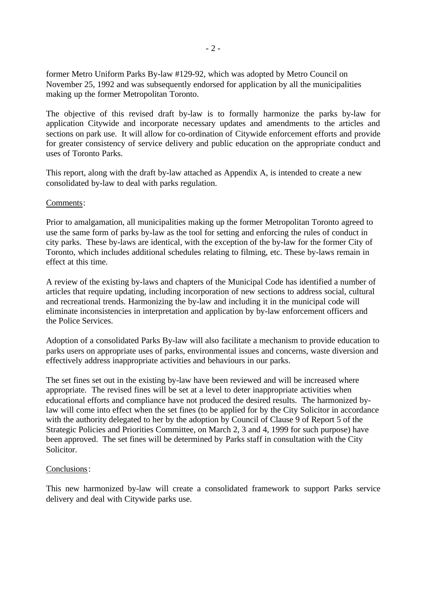former Metro Uniform Parks By-law #129-92, which was adopted by Metro Council on November 25, 1992 and was subsequently endorsed for application by all the municipalities making up the former Metropolitan Toronto.

The objective of this revised draft by-law is to formally harmonize the parks by-law for application Citywide and incorporate necessary updates and amendments to the articles and sections on park use. It will allow for co-ordination of Citywide enforcement efforts and provide for greater consistency of service delivery and public education on the appropriate conduct and uses of Toronto Parks.

This report, along with the draft by-law attached as Appendix A, is intended to create a new consolidated by-law to deal with parks regulation.

#### Comments:

Prior to amalgamation, all municipalities making up the former Metropolitan Toronto agreed to use the same form of parks by-law as the tool for setting and enforcing the rules of conduct in city parks. These by-laws are identical, with the exception of the by-law for the former City of Toronto, which includes additional schedules relating to filming, etc. These by-laws remain in effect at this time.

A review of the existing by-laws and chapters of the Municipal Code has identified a number of articles that require updating, including incorporation of new sections to address social, cultural and recreational trends. Harmonizing the by-law and including it in the municipal code will eliminate inconsistencies in interpretation and application by by-law enforcement officers and the Police Services.

Adoption of a consolidated Parks By-law will also facilitate a mechanism to provide education to parks users on appropriate uses of parks, environmental issues and concerns, waste diversion and effectively address inappropriate activities and behaviours in our parks.

The set fines set out in the existing by-law have been reviewed and will be increased where appropriate. The revised fines will be set at a level to deter inappropriate activities when educational efforts and compliance have not produced the desired results. The harmonized bylaw will come into effect when the set fines (to be applied for by the City Solicitor in accordance with the authority delegated to her by the adoption by Council of Clause 9 of Report 5 of the Strategic Policies and Priorities Committee, on March 2, 3 and 4, 1999 for such purpose) have been approved. The set fines will be determined by Parks staff in consultation with the City Solicitor.

#### Conclusions:

This new harmonized by-law will create a consolidated framework to support Parks service delivery and deal with Citywide parks use.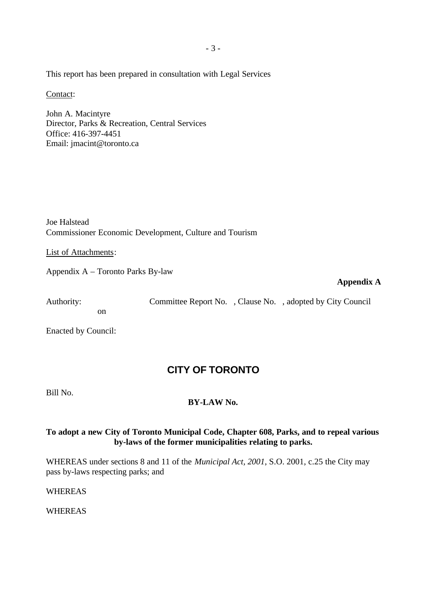This report has been prepared in consultation with Legal Services

Contact:

John A. Macintyre Director, Parks & Recreation, Central Services Office: 416-397-4451 Email: jmacint@toronto.ca

Joe Halstead Commissioner Economic Development, Culture and Tourism

List of Attachments:

Appendix A – Toronto Parks By-law

#### **Appendix A**

Authority: Committee Report No. , Clause No. , adopted by City Council on

Enacted by Council:

# **CITY OF TORONTO**

Bill No.

## **BY-LAW No.**

## **To adopt a new City of Toronto Municipal Code, Chapter 608, Parks, and to repeal various by-laws of the former municipalities relating to parks.**

WHEREAS under sections 8 and 11 of the *Municipal Act, 2001*, S.O. 2001, c.25 the City may pass by-laws respecting parks; and

WHEREAS

WHEREAS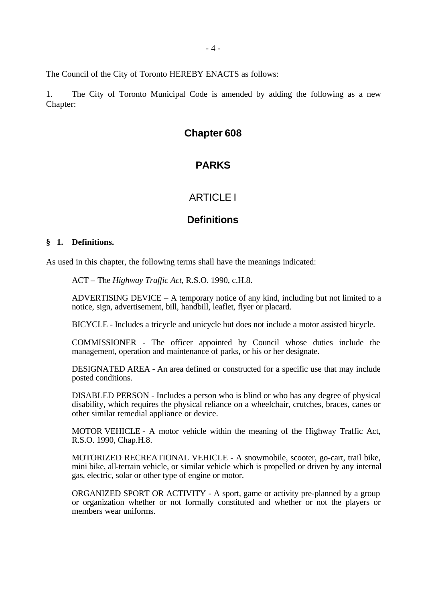The Council of the City of Toronto HEREBY ENACTS as follows:

1. The City of Toronto Municipal Code is amended by adding the following as a new Chapter:

## **Chapter 608**

# **PARKS**

## ARTICLE I

## **Definitions**

#### **§ 1. Definitions.**

As used in this chapter, the following terms shall have the meanings indicated:

ACT – The *Highway Traffic Act*, R.S.O. 1990, c.H.8.

ADVERTISING DEVICE – A temporary notice of any kind, including but not limited to a notice, sign, advertisement, bill, handbill, leaflet, flyer or placard.

BICYCLE - Includes a tricycle and unicycle but does not include a motor assisted bicycle.

COMMISSIONER - The officer appointed by Council whose duties include the management, operation and maintenance of parks, or his or her designate.

DESIGNATED AREA - An area defined or constructed for a specific use that may include posted conditions.

DISABLED PERSON - Includes a person who is blind or who has any degree of physical disability, which requires the physical reliance on a wheelchair, crutches, braces, canes or other similar remedial appliance or device.

MOTOR VEHICLE - A motor vehicle within the meaning of the Highway Traffic Act, R.S.O. 1990, Chap.H.8.

MOTORIZED RECREATIONAL VEHICLE - A snowmobile, scooter, go-cart, trail bike, mini bike, all-terrain vehicle, or similar vehicle which is propelled or driven by any internal gas, electric, solar or other type of engine or motor.

ORGANIZED SPORT OR ACTIVITY - A sport, game or activity pre-planned by a group or organization whether or not formally constituted and whether or not the players or members wear uniforms.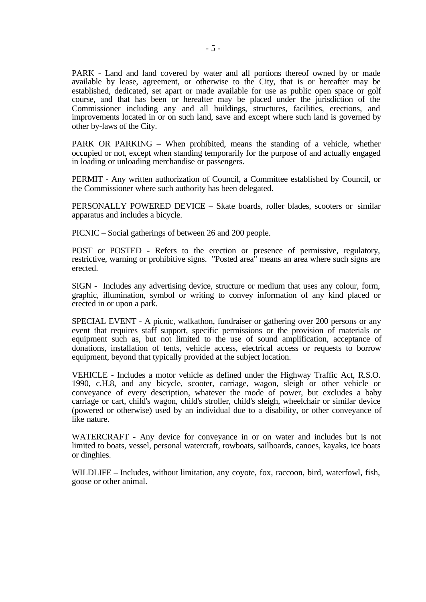PARK - Land and land covered by water and all portions thereof owned by or made available by lease, agreement, or otherwise to the City, that is or hereafter may be established, dedicated, set apart or made available for use as public open space or golf course, and that has been or hereafter may be placed under the jurisdiction of the Commissioner including any and all buildings, structures, facilities, erections, and improvements located in or on such land, save and except where such land is governed by other by-laws of the City.

PARK OR PARKING – When prohibited, means the standing of a vehicle, whether occupied or not, except when standing temporarily for the purpose of and actually engaged in loading or unloading merchandise or passengers.

PERMIT - Any written authorization of Council, a Committee established by Council, or the Commissioner where such authority has been delegated.

PERSONALLY POWERED DEVICE – Skate boards, roller blades, scooters or similar apparatus and includes a bicycle.

PICNIC – Social gatherings of between 26 and 200 people.

POST or POSTED - Refers to the erection or presence of permissive, regulatory, restrictive, warning or prohibitive signs. "Posted area" means an area where such signs are erected.

SIGN - Includes any advertising device, structure or medium that uses any colour, form, graphic, illumination, symbol or writing to convey information of any kind placed or erected in or upon a park.

SPECIAL EVENT - A picnic, walkathon, fundraiser or gathering over 200 persons or any event that requires staff support, specific permissions or the provision of materials or equipment such as, but not limited to the use of sound amplification, acceptance of donations, installation of tents, vehicle access, electrical access or requests to borrow equipment, beyond that typically provided at the subject location.

VEHICLE - Includes a motor vehicle as defined under the Highway Traffic Act, R.S.O. 1990, c.H.8, and any bicycle, scooter, carriage, wagon, sleigh or other vehicle or conveyance of every description, whatever the mode of power, but excludes a baby carriage or cart, child's wagon, child's stroller, child's sleigh, wheelchair or similar device (powered or otherwise) used by an individual due to a disability, or other conveyance of like nature.

WATERCRAFT - Any device for conveyance in or on water and includes but is not limited to boats, vessel, personal watercraft, rowboats, sailboards, canoes, kayaks, ice boats or dinghies.

WILDLIFE – Includes, without limitation, any coyote, fox, raccoon, bird, waterfowl, fish, goose or other animal.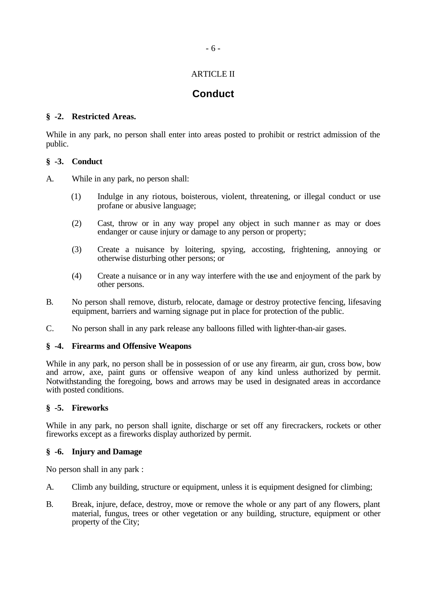## ARTICLE II

# **Conduct**

#### **§ -2. Restricted Areas.**

While in any park, no person shall enter into areas posted to prohibit or restrict admission of the public.

#### **§ -3. Conduct**

A. While in any park, no person shall:

- (1) Indulge in any riotous, boisterous, violent, threatening, or illegal conduct or use profane or abusive language;
- (2) Cast, throw or in any way propel any object in such manner as may or does endanger or cause injury or damage to any person or property;
- (3) Create a nuisance by loitering, spying, accosting, frightening, annoying or otherwise disturbing other persons; or
- (4) Create a nuisance or in any way interfere with the use and enjoyment of the park by other persons.
- B. No person shall remove, disturb, relocate, damage or destroy protective fencing, lifesaving equipment, barriers and warning signage put in place for protection of the public.
- C. No person shall in any park release any balloons filled with lighter-than-air gases.

#### **§ -4. Firearms and Offensive Weapons**

While in any park, no person shall be in possession of or use any firearm, air gun, cross bow, bow and arrow, axe, paint guns or offensive weapon of any kind unless authorized by permit. Notwithstanding the foregoing, bows and arrows may be used in designated areas in accordance with posted conditions.

#### **§ -5. Fireworks**

While in any park, no person shall ignite, discharge or set off any firecrackers, rockets or other fireworks except as a fireworks display authorized by permit.

#### **§ -6. Injury and Damage**

No person shall in any park :

- A. Climb any building, structure or equipment, unless it is equipment designed for climbing;
- B. Break, injure, deface, destroy, move or remove the whole or any part of any flowers, plant material, fungus, trees or other vegetation or any building, structure, equipment or other property of the City;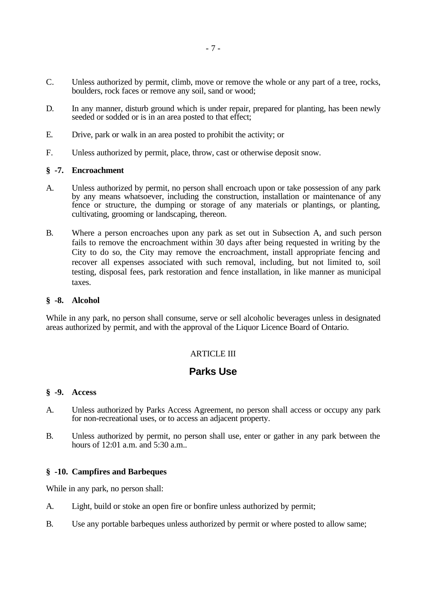- C. Unless authorized by permit, climb, move or remove the whole or any part of a tree, rocks, boulders, rock faces or remove any soil, sand or wood;
- D. In any manner, disturb ground which is under repair, prepared for planting, has been newly seeded or sodded or is in an area posted to that effect;
- E. Drive, park or walk in an area posted to prohibit the activity; or
- F. Unless authorized by permit, place, throw, cast or otherwise deposit snow.

#### **§ -7. Encroachment**

- A. Unless authorized by permit, no person shall encroach upon or take possession of any park by any means whatsoever, including the construction, installation or maintenance of any fence or structure, the dumping or storage of any materials or plantings, or planting, cultivating, grooming or landscaping, thereon.
- B. Where a person encroaches upon any park as set out in Subsection A, and such person fails to remove the encroachment within 30 days after being requested in writing by the City to do so, the City may remove the encroachment, install appropriate fencing and recover all expenses associated with such removal, including, but not limited to, soil testing, disposal fees, park restoration and fence installation, in like manner as municipal taxes.

#### **§ -8. Alcohol**

While in any park, no person shall consume, serve or sell alcoholic beverages unless in designated areas authorized by permit, and with the approval of the Liquor Licence Board of Ontario.

## **ARTICLE III**

# **Parks Use**

#### **§ -9. Access**

- A. Unless authorized by Parks Access Agreement, no person shall access or occupy any park for non-recreational uses, or to access an adjacent property.
- B. Unless authorized by permit, no person shall use, enter or gather in any park between the hours of 12:01 a.m. and 5:30 a.m..

#### **§ -10. Campfires and Barbeques**

While in any park, no person shall:

- A. Light, build or stoke an open fire or bonfire unless authorized by permit;
- B. Use any portable barbeques unless authorized by permit or where posted to allow same;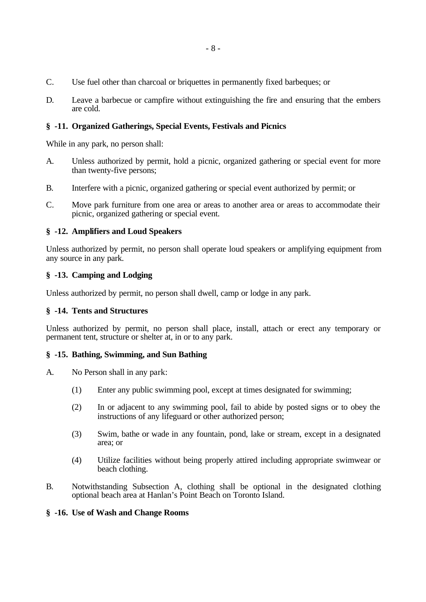- C. Use fuel other than charcoal or briquettes in permanently fixed barbeques; or
- D. Leave a barbecue or campfire without extinguishing the fire and ensuring that the embers are cold.

#### **§ -11. Organized Gatherings, Special Events, Festivals and Picnics**

While in any park, no person shall:

- A. Unless authorized by permit, hold a picnic, organized gathering or special event for more than twenty-five persons;
- B. Interfere with a picnic, organized gathering or special event authorized by permit; or
- C. Move park furniture from one area or areas to another area or areas to accommodate their picnic, organized gathering or special event.

#### **§ -12. Amplifiers and Loud Speakers**

Unless authorized by permit, no person shall operate loud speakers or amplifying equipment from any source in any park.

#### **§ -13. Camping and Lodging**

Unless authorized by permit, no person shall dwell, camp or lodge in any park.

#### **§ -14. Tents and Structures**

Unless authorized by permit, no person shall place, install, attach or erect any temporary or permanent tent, structure or shelter at, in or to any park.

#### **§ -15. Bathing, Swimming, and Sun Bathing**

- A. No Person shall in any park:
	- (1) Enter any public swimming pool, except at times designated for swimming;
	- (2) In or adjacent to any swimming pool, fail to abide by posted signs or to obey the instructions of any lifeguard or other authorized person;
	- (3) Swim, bathe or wade in any fountain, pond, lake or stream, except in a designated area; or
	- (4) Utilize facilities without being properly attired including appropriate swimwear or beach clothing.
- B. Notwithstanding Subsection A, clothing shall be optional in the designated clothing optional beach area at Hanlan's Point Beach on Toronto Island.

#### **§ -16. Use of Wash and Change Rooms**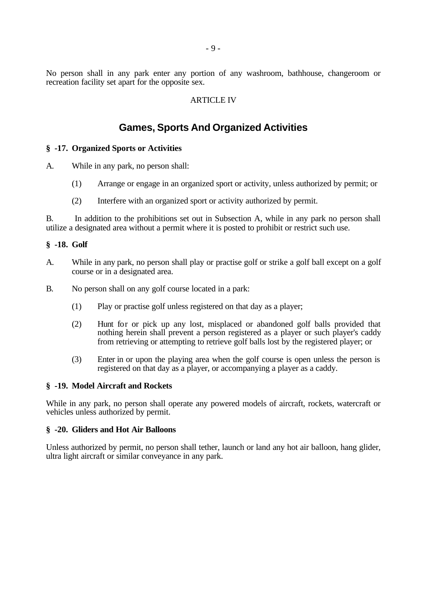No person shall in any park enter any portion of any washroom, bathhouse, changeroom or recreation facility set apart for the opposite sex.

#### ARTICLE IV

# **Games, Sports And Organized Activities**

#### **§ -17. Organized Sports or Activities**

A. While in any park, no person shall:

- (1) Arrange or engage in an organized sport or activity, unless authorized by permit; or
- (2) Interfere with an organized sport or activity authorized by permit.

B. In addition to the prohibitions set out in Subsection A, while in any park no person shall utilize a designated area without a permit where it is posted to prohibit or restrict such use.

#### **§ -18. Golf**

- A. While in any park, no person shall play or practise golf or strike a golf ball except on a golf course or in a designated area.
- B. No person shall on any golf course located in a park:
	- (1) Play or practise golf unless registered on that day as a player;
	- (2) Hunt for or pick up any lost, misplaced or abandoned golf balls provided that nothing herein shall prevent a person registered as a player or such player's caddy from retrieving or attempting to retrieve golf balls lost by the registered player; or
	- (3) Enter in or upon the playing area when the golf course is open unless the person is registered on that day as a player, or accompanying a player as a caddy.

#### **§ -19. Model Aircraft and Rockets**

While in any park, no person shall operate any powered models of aircraft, rockets, watercraft or vehicles unless authorized by permit.

#### **§ -20. Gliders and Hot Air Balloons**

Unless authorized by permit, no person shall tether, launch or land any hot air balloon, hang glider, ultra light aircraft or similar conveyance in any park.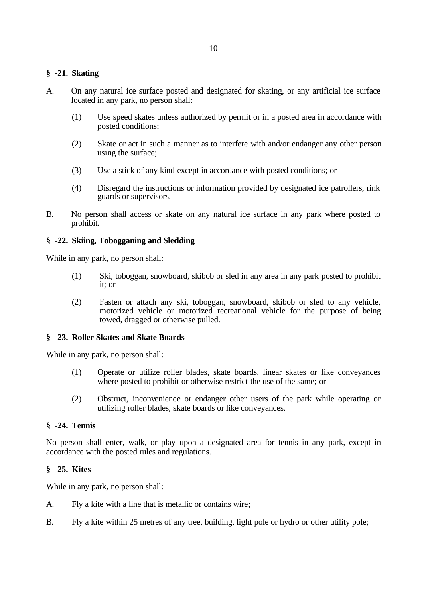#### **§ -21. Skating**

- A. On any natural ice surface posted and designated for skating, or any artificial ice surface located in any park, no person shall:
	- (1) Use speed skates unless authorized by permit or in a posted area in accordance with posted conditions;
	- (2) Skate or act in such a manner as to interfere with and/or endanger any other person using the surface;
	- (3) Use a stick of any kind except in accordance with posted conditions; or
	- (4) Disregard the instructions or information provided by designated ice patrollers, rink guards or supervisors.
- B. No person shall access or skate on any natural ice surface in any park where posted to prohibit.

#### **§ -22. Skiing, Tobogganing and Sledding**

While in any park, no person shall:

- (1) Ski, toboggan, snowboard, skibob or sled in any area in any park posted to prohibit it; or
- (2) Fasten or attach any ski, toboggan, snowboard, skibob or sled to any vehicle, motorized vehicle or motorized recreational vehicle for the purpose of being towed, dragged or otherwise pulled.

#### **§ -23. Roller Skates and Skate Boards**

While in any park, no person shall:

- (1) Operate or utilize roller blades, skate boards, linear skates or like conveyances where posted to prohibit or otherwise restrict the use of the same; or
- (2) Obstruct, inconvenience or endanger other users of the park while operating or utilizing roller blades, skate boards or like conveyances.

#### **§ -24. Tennis**

No person shall enter, walk, or play upon a designated area for tennis in any park, except in accordance with the posted rules and regulations.

#### **§ -25. Kites**

While in any park, no person shall:

- A. Fly a kite with a line that is metallic or contains wire;
- B. Fly a kite within 25 metres of any tree, building, light pole or hydro or other utility pole;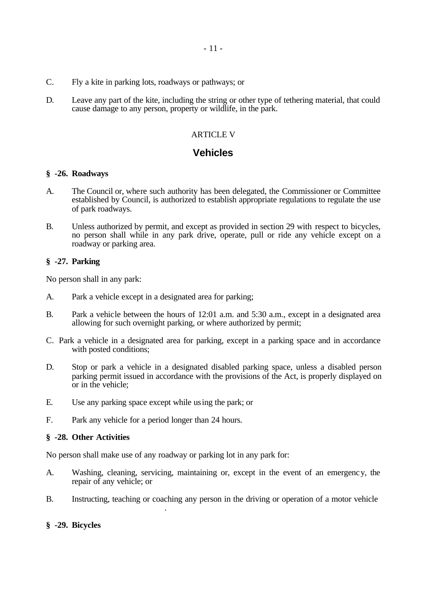- C. Fly a kite in parking lots, roadways or pathways; or
- D. Leave any part of the kite, including the string or other type of tethering material, that could cause damage to any person, property or wildlife, in the park.

## ARTICLE V

## **Vehicles**

#### **§ -26. Roadways**

- A. The Council or, where such authority has been delegated, the Commissioner or Committee established by Council, is authorized to establish appropriate regulations to regulate the use of park roadways.
- B. Unless authorized by permit, and except as provided in section 29 with respect to bicycles, no person shall while in any park drive, operate, pull or ride any vehicle except on a roadway or parking area.

#### **§ -27. Parking**

No person shall in any park:

- A. Park a vehicle except in a designated area for parking;
- B. Park a vehicle between the hours of 12:01 a.m. and 5:30 a.m., except in a designated area allowing for such overnight parking, or where authorized by permit;
- C. Park a vehicle in a designated area for parking, except in a parking space and in accordance with posted conditions;
- D. Stop or park a vehicle in a designated disabled parking space, unless a disabled person parking permit issued in accordance with the provisions of the Act, is properly displayed on or in the vehicle;
- E. Use any parking space except while using the park; or
- F. Park any vehicle for a period longer than 24 hours.

unless authorized by permit.

#### **§ -28. Other Activities**

No person shall make use of any roadway or parking lot in any park for:

- A. Washing, cleaning, servicing, maintaining or, except in the event of an emergency, the repair of any vehicle; or
- B. Instructing, teaching or coaching any person in the driving or operation of a motor vehicle,

#### **§ -29. Bicycles**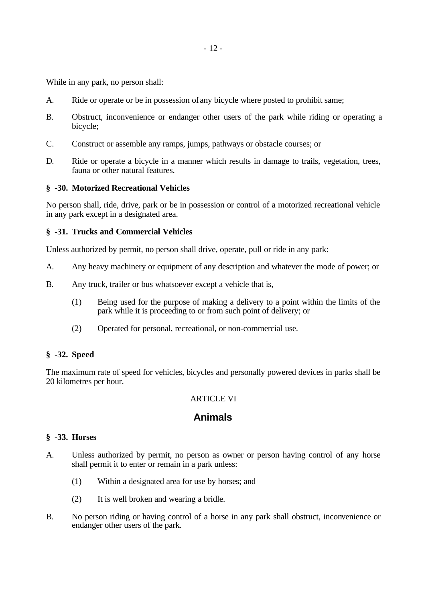While in any park, no person shall:

- A. Ride or operate or be in possession of any bicycle where posted to prohibit same;
- B. Obstruct, inconvenience or endanger other users of the park while riding or operating a bicycle;
- C. Construct or assemble any ramps, jumps, pathways or obstacle courses; or
- D. Ride or operate a bicycle in a manner which results in damage to trails, vegetation, trees, fauna or other natural features.

#### **§ -30. Motorized Recreational Vehicles**

No person shall, ride, drive, park or be in possession or control of a motorized recreational vehicle in any park except in a designated area.

#### **§ -31. Trucks and Commercial Vehicles**

Unless authorized by permit, no person shall drive, operate, pull or ride in any park:

- A. Any heavy machinery or equipment of any description and whatever the mode of power; or
- B. Any truck, trailer or bus whatsoever except a vehicle that is,
	- (1) Being used for the purpose of making a delivery to a point within the limits of the park while it is proceeding to or from such point of delivery; or
	- (2) Operated for personal, recreational, or non-commercial use.

#### **§ -32. Speed**

The maximum rate of speed for vehicles, bicycles and personally powered devices in parks shall be 20 kilometres per hour.

#### **ARTICLE VI**

## **Animals**

## **§ -33. Horses**

- A. Unless authorized by permit, no person as owner or person having control of any horse shall permit it to enter or remain in a park unless:
	- (1) Within a designated area for use by horses; and
	- (2) It is well broken and wearing a bridle.
- B. No person riding or having control of a horse in any park shall obstruct, inconvenience or endanger other users of the park.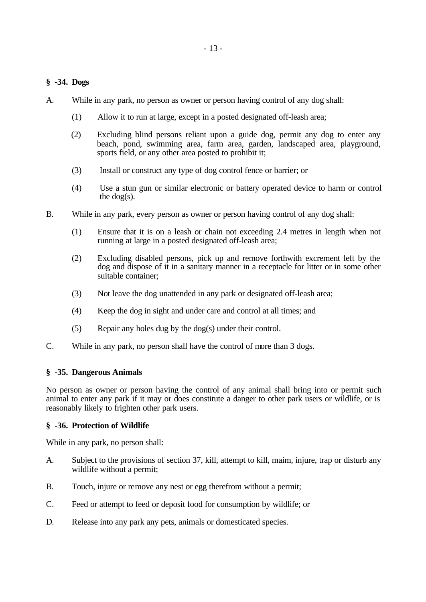## **§ -34. Dogs**

- A. While in any park, no person as owner or person having control of any dog shall:
	- (1) Allow it to run at large, except in a posted designated off-leash area;
	- (2) Excluding blind persons reliant upon a guide dog, permit any dog to enter any beach, pond, swimming area, farm area, garden, landscaped area, playground, sports field, or any other area posted to prohibit it;
	- (3) Install or construct any type of dog control fence or barrier; or
	- (4) Use a stun gun or similar electronic or battery operated device to harm or control the dog(s).
- B. While in any park, every person as owner or person having control of any dog shall:
	- (1) Ensure that it is on a leash or chain not exceeding 2.4 metres in length when not running at large in a posted designated off-leash area;
	- (2) Excluding disabled persons, pick up and remove forthwith excrement left by the dog and dispose of it in a sanitary manner in a receptacle for litter or in some other suitable container;
	- (3) Not leave the dog unattended in any park or designated off-leash area;
	- (4) Keep the dog in sight and under care and control at all times; and
	- (5) Repair any holes dug by the dog(s) under their control.
- C. While in any park, no person shall have the control of more than 3 dogs.

#### **§ -35. Dangerous Animals**

No person as owner or person having the control of any animal shall bring into or permit such animal to enter any park if it may or does constitute a danger to other park users or wildlife, or is reasonably likely to frighten other park users.

#### **§ -36. Protection of Wildlife**

While in any park, no person shall:

- A. Subject to the provisions of section 37, kill, attempt to kill, maim, injure, trap or disturb any wildlife without a permit;
- B. Touch, injure or remove any nest or egg therefrom without a permit;
- C. Feed or attempt to feed or deposit food for consumption by wildlife; or
- D. Release into any park any pets, animals or domesticated species.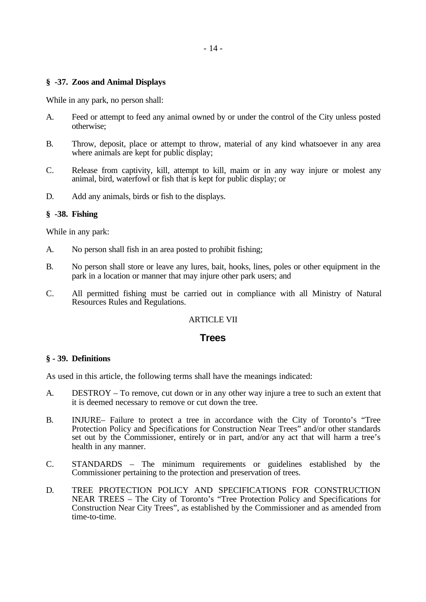#### **§ -37. Zoos and Animal Displays**

While in any park, no person shall:

- A. Feed or attempt to feed any animal owned by or under the control of the City unless posted otherwise;
- B. Throw, deposit, place or attempt to throw, material of any kind whatsoever in any area where animals are kept for public display;
- C. Release from captivity, kill, attempt to kill, maim or in any way injure or molest any animal, bird, waterfowl or fish that is kept for public display; or
- D. Add any animals, birds or fish to the displays.

#### **§ -38. Fishing**

While in any park:

- A. No person shall fish in an area posted to prohibit fishing;
- B. No person shall store or leave any lures, bait, hooks, lines, poles or other equipment in the park in a location or manner that may injure other park users; and
- C. All permitted fishing must be carried out in compliance with all Ministry of Natural Resources Rules and Regulations.

#### ARTICLE VII

## **Trees**

#### **§ - 39. Definitions**

As used in this article, the following terms shall have the meanings indicated:

- A. DESTROY To remove, cut down or in any other way injure a tree to such an extent that it is deemed necessary to remove or cut down the tree.
- B. INJURE– Failure to protect a tree in accordance with the City of Toronto's "Tree Protection Policy and Specifications for Construction Near Trees" and/or other standards set out by the Commissioner, entirely or in part, and/or any act that will harm a tree's health in any manner.
- C. STANDARDS The minimum requirements or guidelines established by the Commissioner pertaining to the protection and preservation of trees.
- D. TREE PROTECTION POLICY AND SPECIFICATIONS FOR CONSTRUCTION NEAR TREES – The City of Toronto's "Tree Protection Policy and Specifications for Construction Near City Trees", as established by the Commissioner and as amended from time-to-time.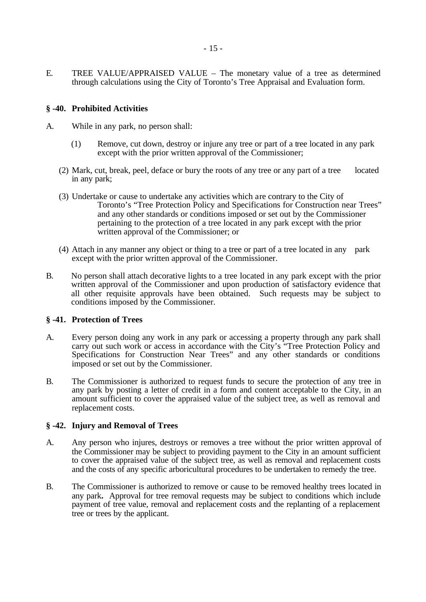E. TREE VALUE/APPRAISED VALUE – The monetary value of a tree as determined through calculations using the City of Toronto's Tree Appraisal and Evaluation form.

#### **§ -40. Prohibited Activities**

- A. While in any park, no person shall:
	- (1) Remove, cut down, destroy or injure any tree or part of a tree located in any park except with the prior written approval of the Commissioner;
	- (2) Mark, cut, break, peel, deface or bury the roots of any tree or any part of a tree located in any park;
	- (3) Undertake or cause to undertake any activities which are contrary to the City of Toronto's "Tree Protection Policy and Specifications for Construction near Trees" and any other standards or conditions imposed or set out by the Commissioner pertaining to the protection of a tree located in any park except with the prior written approval of the Commissioner; or
	- (4) Attach in any manner any object or thing to a tree or part of a tree located in any park except with the prior written approval of the Commissioner.
- B. No person shall attach decorative lights to a tree located in any park except with the prior written approval of the Commissioner and upon production of satisfactory evidence that all other requisite approvals have been obtained. Such requests may be subject to conditions imposed by the Commissioner.

#### **§ -41. Protection of Trees**

- A. Every person doing any work in any park or accessing a property through any park shall carry out such work or access in accordance with the City's "Tree Protection Policy and Specifications for Construction Near Trees" and any other standards or conditions imposed or set out by the Commissioner.
- B. The Commissioner is authorized to request funds to secure the protection of any tree in any park by posting a letter of credit in a form and content acceptable to the City, in an amount sufficient to cover the appraised value of the subject tree, as well as removal and replacement costs.

#### **§ -42. Injury and Removal of Trees**

- A. Any person who injures, destroys or removes a tree without the prior written approval of the Commissioner may be subject to providing payment to the City in an amount sufficient to cover the appraised value of the subject tree, as well as removal and replacement costs and the costs of any specific arboricultural procedures to be undertaken to remedy the tree.
- B. The Commissioner is authorized to remove or cause to be removed healthy trees located in any park**.** Approval for tree removal requests may be subject to conditions which include payment of tree value, removal and replacement costs and the replanting of a replacement tree or trees by the applicant.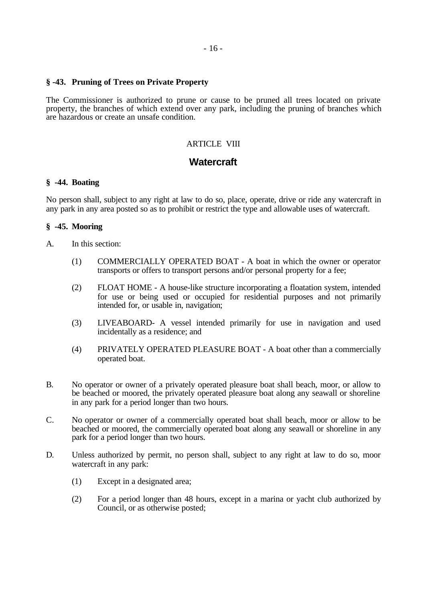#### **§ -43. Pruning of Trees on Private Property**

The Commissioner is authorized to prune or cause to be pruned all trees located on private property, the branches of which extend over any park, including the pruning of branches which are hazardous or create an unsafe condition.

#### ARTICLE VIII

## **Watercraft**

#### **§ -44. Boating**

No person shall, subject to any right at law to do so, place, operate, drive or ride any watercraft in any park in any area posted so as to prohibit or restrict the type and allowable uses of watercraft.

#### **§ -45. Mooring**

- A. In this section:
	- (1) COMMERCIALLY OPERATED BOAT A boat in which the owner or operator transports or offers to transport persons and/or personal property for a fee;
	- (2) FLOAT HOME A house-like structure incorporating a floatation system, intended for use or being used or occupied for residential purposes and not primarily intended for, or usable in, navigation;
	- (3) LIVEABOARD- A vessel intended primarily for use in navigation and used incidentally as a residence; and
	- (4) PRIVATELY OPERATED PLEASURE BOAT A boat other than a commercially operated boat.
- B. No operator or owner of a privately operated pleasure boat shall beach, moor, or allow to be beached or moored, the privately operated pleasure boat along any seawall or shoreline in any park for a period longer than two hours.
- C. No operator or owner of a commercially operated boat shall beach, moor or allow to be beached or moored, the commercially operated boat along any seawall or shoreline in any park for a period longer than two hours.
- D. Unless authorized by permit, no person shall, subject to any right at law to do so, moor watercraft in any park:
	- (1) Except in a designated area;
	- (2) For a period longer than 48 hours, except in a marina or yacht club authorized by Council, or as otherwise posted;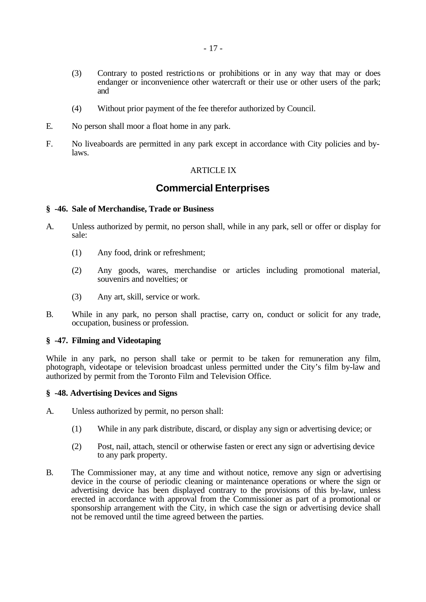- (3) Contrary to posted restrictions or prohibitions or in any way that may or does endanger or inconvenience other watercraft or their use or other users of the park; and
- (4) Without prior payment of the fee therefor authorized by Council.
- E. No person shall moor a float home in any park.
- F. No liveaboards are permitted in any park except in accordance with City policies and bylaws.

#### **ARTICLE IX**

# **Commercial Enterprises**

#### **§ -46. Sale of Merchandise, Trade or Business**

- A. Unless authorized by permit, no person shall, while in any park, sell or offer or display for sale:
	- (1) Any food, drink or refreshment;
	- (2) Any goods, wares, merchandise or articles including promotional material, souvenirs and novelties; or
	- (3) Any art, skill, service or work.
- B. While in any park, no person shall practise, carry on, conduct or solicit for any trade, occupation, business or profession.

#### **§ -47. Filming and Videotaping**

While in any park, no person shall take or permit to be taken for remuneration any film, photograph, videotape or television broadcast unless permitted under the City's film by-law and authorized by permit from the Toronto Film and Television Office.

#### **§ -48. Advertising Devices and Signs**

- A. Unless authorized by permit, no person shall:
	- (1) While in any park distribute, discard, or display any sign or advertising device; or
	- (2) Post, nail, attach, stencil or otherwise fasten or erect any sign or advertising device to any park property.
- B. The Commissioner may, at any time and without notice, remove any sign or advertising device in the course of periodic cleaning or maintenance operations or where the sign or advertising device has been displayed contrary to the provisions of this by-law, unless erected in accordance with approval from the Commissioner as part of a promotional or sponsorship arrangement with the City, in which case the sign or advertising device shall not be removed until the time agreed between the parties.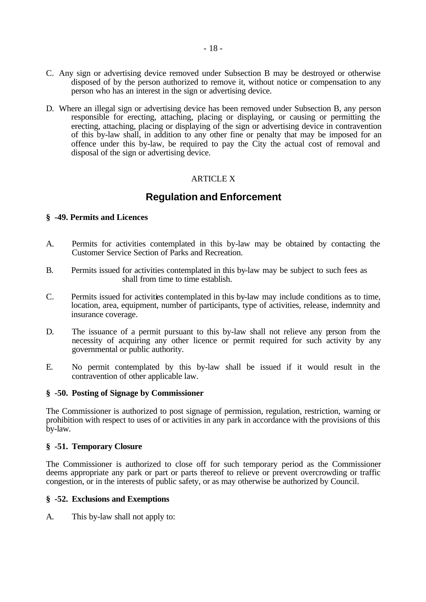- C. Any sign or advertising device removed under Subsection B may be destroyed or otherwise disposed of by the person authorized to remove it, without notice or compensation to any person who has an interest in the sign or advertising device.
- D. Where an illegal sign or advertising device has been removed under Subsection B, any person responsible for erecting, attaching, placing or displaying, or causing or permitting the erecting, attaching, placing or displaying of the sign or advertising device in contravention of this by-law shall, in addition to any other fine or penalty that may be imposed for an offence under this by-law, be required to pay the City the actual cost of removal and disposal of the sign or advertising device.

## ARTICLE X

# **Regulation and Enforcement**

#### **§ -49. Permits and Licences**

- A. Permits for activities contemplated in this by-law may be obtained by contacting the Customer Service Section of Parks and Recreation.
- B. Permits issued for activities contemplated in this by-law may be subject to such fees as shall from time to time establish.
- C. Permits issued for activities contemplated in this by-law may include conditions as to time, location, area, equipment, number of participants, type of activities, release, indemnity and insurance coverage.
- D. The issuance of a permit pursuant to this by-law shall not relieve any person from the necessity of acquiring any other licence or permit required for such activity by any governmental or public authority.
- E. No permit contemplated by this by-law shall be issued if it would result in the contravention of other applicable law.

#### **§ -50. Posting of Signage by Commissioner**

The Commissioner is authorized to post signage of permission, regulation, restriction, warning or prohibition with respect to uses of or activities in any park in accordance with the provisions of this by-law.

#### **§ -51. Temporary Closure**

The Commissioner is authorized to close off for such temporary period as the Commissioner deems appropriate any park or part or parts thereof to relieve or prevent overcrowding or traffic congestion, or in the interests of public safety, or as may otherwise be authorized by Council.

#### **§ -52. Exclusions and Exemptions**

A. This by-law shall not apply to: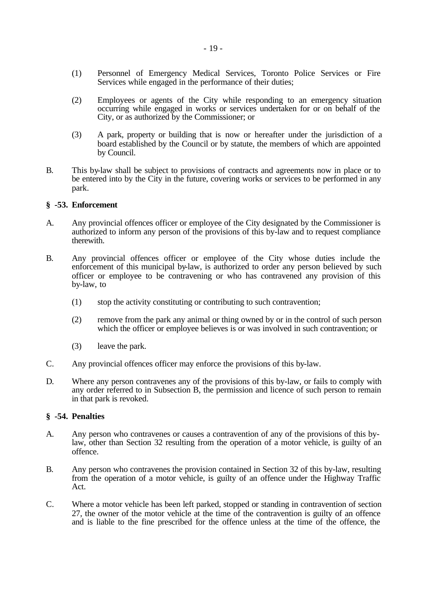- (1) Personnel of Emergency Medical Services, Toronto Police Services or Fire Services while engaged in the performance of their duties;
- (2) Employees or agents of the City while responding to an emergency situation occurring while engaged in works or services undertaken for or on behalf of the City, or as authorized by the Commissioner; or
- (3) A park, property or building that is now or hereafter under the jurisdiction of a board established by the Council or by statute, the members of which are appointed by Council.
- B. This by-law shall be subject to provisions of contracts and agreements now in place or to be entered into by the City in the future, covering works or services to be performed in any park.

#### **§ -53. Enforcement**

- A. Any provincial offences officer or employee of the City designated by the Commissioner is authorized to inform any person of the provisions of this by-law and to request compliance therewith.
- B. Any provincial offences officer or employee of the City whose duties include the enforcement of this municipal by-law, is authorized to order any person believed by such officer or employee to be contravening or who has contravened any provision of this by-law, to
	- (1) stop the activity constituting or contributing to such contravention;
	- (2) remove from the park any animal or thing owned by or in the control of such person which the officer or employee believes is or was involved in such contravention; or
	- (3) leave the park.
- C. Any provincial offences officer may enforce the provisions of this by-law.
- D. Where any person contravenes any of the provisions of this by-law, or fails to comply with any order referred to in Subsection B, the permission and licence of such person to remain in that park is revoked.

#### **§ -54. Penalties**

- A. Any person who contravenes or causes a contravention of any of the provisions of this bylaw, other than Section 32 resulting from the operation of a motor vehicle, is guilty of an offence.
- B. Any person who contravenes the provision contained in Section 32 of this by-law, resulting from the operation of a motor vehicle, is guilty of an offence under the Highway Traffic Act.
- C. Where a motor vehicle has been left parked, stopped or standing in contravention of section 27, the owner of the motor vehicle at the time of the contravention is guilty of an offence and is liable to the fine prescribed for the offence unless at the time of the offence, the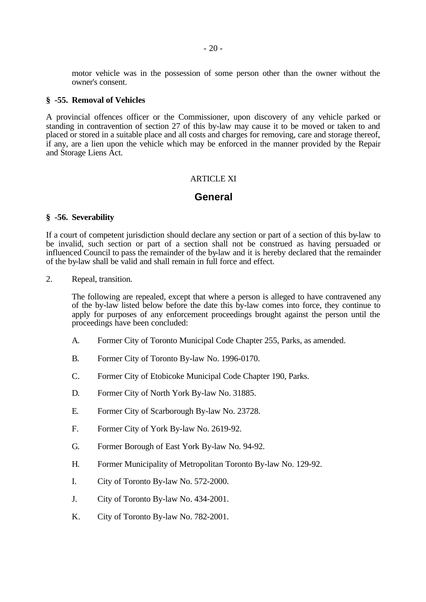motor vehicle was in the possession of some person other than the owner without the owner's consent.

#### **§ -55. Removal of Vehicles**

A provincial offences officer or the Commissioner, upon discovery of any vehicle parked or standing in contravention of section 27 of this by-law may cause it to be moved or taken to and placed or stored in a suitable place and all costs and charges for removing, care and storage thereof, if any, are a lien upon the vehicle which may be enforced in the manner provided by the Repair and Storage Liens Act.

#### **ARTICLE XI**

## **General**

#### **§ -56. Severability**

If a court of competent jurisdiction should declare any section or part of a section of this by-law to be invalid, such section or part of a section shall not be construed as having persuaded or influenced Council to pass the remainder of the by-law and it is hereby declared that the remainder of the by-law shall be valid and shall remain in full force and effect.

2. Repeal, transition.

The following are repealed, except that where a person is alleged to have contravened any of the by-law listed below before the date this by-law comes into force, they continue to apply for purposes of any enforcement proceedings brought against the person until the proceedings have been concluded:

- A. Former City of Toronto Municipal Code Chapter 255, Parks, as amended.
- B. Former City of Toronto By-law No. 1996-0170.
- C. Former City of Etobicoke Municipal Code Chapter 190, Parks.
- D. Former City of North York By-law No. 31885.
- E. Former City of Scarborough By-law No. 23728.
- F. Former City of York By-law No. 2619-92.
- G. Former Borough of East York By-law No. 94-92.
- H. Former Municipality of Metropolitan Toronto By-law No. 129-92.
- I. City of Toronto By-law No. 572-2000.
- J. City of Toronto By-law No. 434-2001.
- K. City of Toronto By-law No. 782-2001.